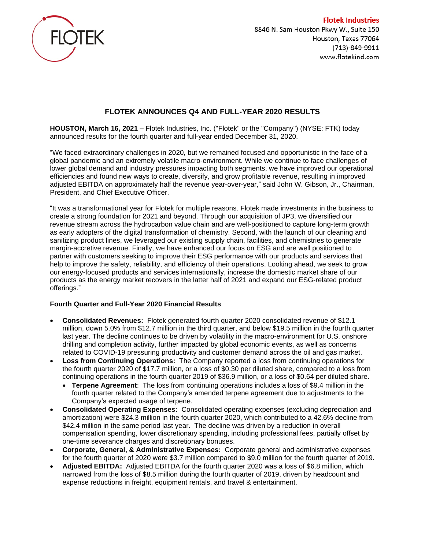

**Flotek Industries** 8846 N. Sam Houston Pkwy W., Suite 150 Houston, Texas 77064 (713)-849-9911 www.flotekind.com

# **FLOTEK ANNOUNCES Q4 AND FULL-YEAR 2020 RESULTS**

**HOUSTON, March 16, 2021** – Flotek Industries, Inc. ("Flotek" or the "Company") (NYSE: FTK) today announced results for the fourth quarter and full-year ended December 31, 2020.

"We faced extraordinary challenges in 2020, but we remained focused and opportunistic in the face of a global pandemic and an extremely volatile macro-environment. While we continue to face challenges of lower global demand and industry pressures impacting both segments, we have improved our operational efficiencies and found new ways to create, diversify, and grow profitable revenue, resulting in improved adjusted EBITDA on approximately half the revenue year-over-year," said John W. Gibson, Jr., Chairman, President, and Chief Executive Officer.

"It was a transformational year for Flotek for multiple reasons. Flotek made investments in the business to create a strong foundation for 2021 and beyond. Through our acquisition of JP3, we diversified our revenue stream across the hydrocarbon value chain and are well-positioned to capture long-term growth as early adopters of the digital transformation of chemistry. Second, with the launch of our cleaning and sanitizing product lines, we leveraged our existing supply chain, facilities, and chemistries to generate margin-accretive revenue. Finally, we have enhanced our focus on ESG and are well positioned to partner with customers seeking to improve their ESG performance with our products and services that help to improve the safety, reliability, and efficiency of their operations. Looking ahead, we seek to grow our energy-focused products and services internationally, increase the domestic market share of our products as the energy market recovers in the latter half of 2021 and expand our ESG-related product offerings."

## **Fourth Quarter and Full-Year 2020 Financial Results**

- **Consolidated Revenues:** Flotek generated fourth quarter 2020 consolidated revenue of \$12.1 million, down 5.0% from \$12.7 million in the third quarter, and below \$19.5 million in the fourth quarter last year. The decline continues to be driven by volatility in the macro-environment for U.S. onshore drilling and completion activity, further impacted by global economic events, as well as concerns related to COVID-19 pressuring productivity and customer demand across the oil and gas market.
- **Loss from Continuing Operations:** The Company reported a loss from continuing operations for the fourth quarter 2020 of \$17.7 million, or a loss of \$0.30 per diluted share, compared to a loss from continuing operations in the fourth quarter 2019 of \$36.9 million, or a loss of \$0.64 per diluted share.
	- **Terpene Agreement**: The loss from continuing operations includes a loss of \$9.4 million in the fourth quarter related to the Company's amended terpene agreement due to adjustments to the Company's expected usage of terpene.
- **Consolidated Operating Expenses:** Consolidated operating expenses (excluding depreciation and amortization) were \$24.3 million in the fourth quarter 2020, which contributed to a 42.6% decline from \$42.4 million in the same period last year. The decline was driven by a reduction in overall compensation spending, lower discretionary spending, including professional fees, partially offset by one-time severance charges and discretionary bonuses.
- **Corporate, General, & Administrative Expenses:** Corporate general and administrative expenses for the fourth quarter of 2020 were \$3.7 million compared to \$9.0 million for the fourth quarter of 2019.
- **Adjusted EBITDA:** Adjusted EBITDA for the fourth quarter 2020 was a loss of \$6.8 million, which narrowed from the loss of \$8.5 million during the fourth quarter of 2019, driven by headcount and expense reductions in freight, equipment rentals, and travel & entertainment.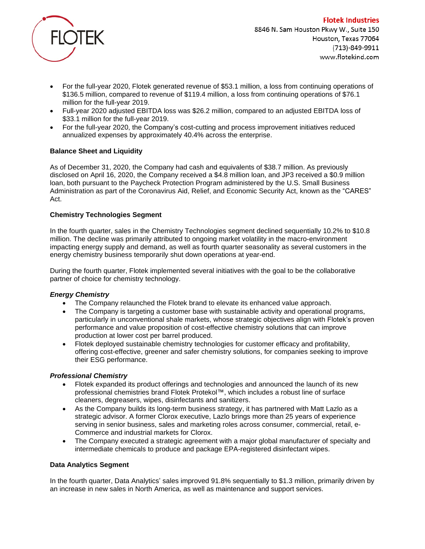

- For the full-year 2020, Flotek generated revenue of \$53.1 million, a loss from continuing operations of \$136.5 million, compared to revenue of \$119.4 million, a loss from continuing operations of \$76.1 million for the full-year 2019.
- Full-year 2020 adjusted EBITDA loss was \$26.2 million, compared to an adjusted EBITDA loss of \$33.1 million for the full-year 2019.
- For the full-year 2020, the Company's cost-cutting and process improvement initiatives reduced annualized expenses by approximately 40.4% across the enterprise.

## **Balance Sheet and Liquidity**

As of December 31, 2020, the Company had cash and equivalents of \$38.7 million. As previously disclosed on April 16, 2020, the Company received a \$4.8 million loan, and JP3 received a \$0.9 million loan, both pursuant to the Paycheck Protection Program administered by the U.S. Small Business Administration as part of the Coronavirus Aid, Relief, and Economic Security Act, known as the "CARES" Act.

### **Chemistry Technologies Segment**

In the fourth quarter, sales in the Chemistry Technologies segment declined sequentially 10.2% to \$10.8 million. The decline was primarily attributed to ongoing market volatility in the macro-environment impacting energy supply and demand, as well as fourth quarter seasonality as several customers in the energy chemistry business temporarily shut down operations at year-end.

During the fourth quarter, Flotek implemented several initiatives with the goal to be the collaborative partner of choice for chemistry technology.

### *Energy Chemistry*

- The Company relaunched the Flotek brand to elevate its enhanced value approach.
- The Company is targeting a customer base with sustainable activity and operational programs, particularly in unconventional shale markets, whose strategic objectives align with Flotek's proven performance and value proposition of cost-effective chemistry solutions that can improve production at lower cost per barrel produced.
- Flotek deployed sustainable chemistry technologies for customer efficacy and profitability, offering cost-effective, greener and safer chemistry solutions, for companies seeking to improve their ESG performance.

### *Professional Chemistry*

- Flotek expanded its product offerings and technologies and announced the launch of its new professional chemistries brand Flotek Protekol™, which includes a robust line of surface cleaners, degreasers, wipes, disinfectants and sanitizers.
- As the Company builds its long-term business strategy, it has partnered with Matt Lazlo as a strategic advisor. A former Clorox executive, Lazlo brings more than 25 years of experience serving in senior business, sales and marketing roles across consumer, commercial, retail, e-Commerce and industrial markets for Clorox.
- The Company executed a strategic agreement with a major global manufacturer of specialty and intermediate chemicals to produce and package EPA-registered disinfectant wipes.

### **Data Analytics Segment**

In the fourth quarter, Data Analytics' sales improved 91.8% sequentially to \$1.3 million, primarily driven by an increase in new sales in North America, as well as maintenance and support services.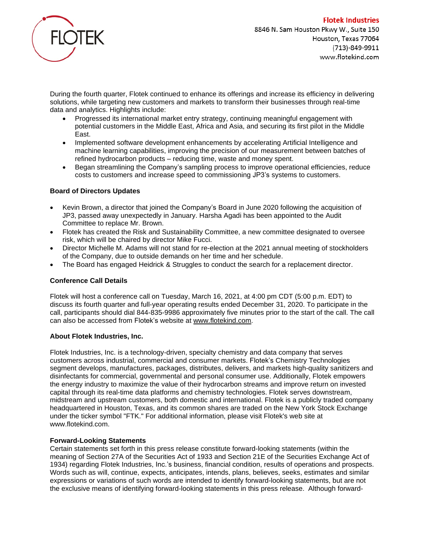

During the fourth quarter, Flotek continued to enhance its offerings and increase its efficiency in delivering solutions, while targeting new customers and markets to transform their businesses through real-time data and analytics. Highlights include:

- Progressed its international market entry strategy, continuing meaningful engagement with potential customers in the Middle East, Africa and Asia, and securing its first pilot in the Middle East.
- Implemented software development enhancements by accelerating Artificial Intelligence and machine learning capabilities, improving the precision of our measurement between batches of refined hydrocarbon products – reducing time, waste and money spent.
- Began streamlining the Company's sampling process to improve operational efficiencies, reduce costs to customers and increase speed to commissioning JP3's systems to customers.

# **Board of Directors Updates**

- Kevin Brown, a director that joined the Company's Board in June 2020 following the acquisition of JP3, passed away unexpectedly in January. Harsha Agadi has been appointed to the Audit Committee to replace Mr. Brown.
- Flotek has created the Risk and Sustainability Committee, a new committee designated to oversee risk, which will be chaired by director Mike Fucci.
- Director Michelle M. Adams will not stand for re-election at the 2021 annual meeting of stockholders of the Company, due to outside demands on her time and her schedule.
- The Board has engaged Heidrick & Struggles to conduct the search for a replacement director.

### **Conference Call Details**

Flotek will host a conference call on Tuesday, March 16, 2021, at 4:00 pm CDT (5:00 p.m. EDT) to discuss its fourth quarter and full-year operating results ended December 31, 2020. To participate in the call, participants should dial 844-835-9986 approximately five minutes prior to the start of the call. The call can also be accessed from Flotek's website at [www.flotekind.com.](http://www.flotekind.com/)

### **About Flotek Industries, Inc.**

Flotek Industries, Inc. is a technology-driven, specialty chemistry and data company that serves customers across industrial, commercial and consumer markets. Flotek's Chemistry Technologies segment develops, manufactures, packages, distributes, delivers, and markets high-quality sanitizers and disinfectants for commercial, governmental and personal consumer use. Additionally, Flotek empowers the energy industry to maximize the value of their hydrocarbon streams and improve return on invested capital through its real-time data platforms and chemistry technologies. Flotek serves downstream, midstream and upstream customers, both domestic and international. Flotek is a publicly traded company headquartered in Houston, Texas, and its common shares are traded on the New York Stock Exchange under the ticker symbol "FTK." For additional information, please visit Flotek's web site at www.flotekind.com.

### **Forward-Looking Statements**

Certain statements set forth in this press release constitute forward-looking statements (within the meaning of Section 27A of the Securities Act of 1933 and Section 21E of the Securities Exchange Act of 1934) regarding Flotek Industries, Inc.'s business, financial condition, results of operations and prospects. Words such as will, continue, expects, anticipates, intends, plans, believes, seeks, estimates and similar expressions or variations of such words are intended to identify forward-looking statements, but are not the exclusive means of identifying forward-looking statements in this press release. Although forward-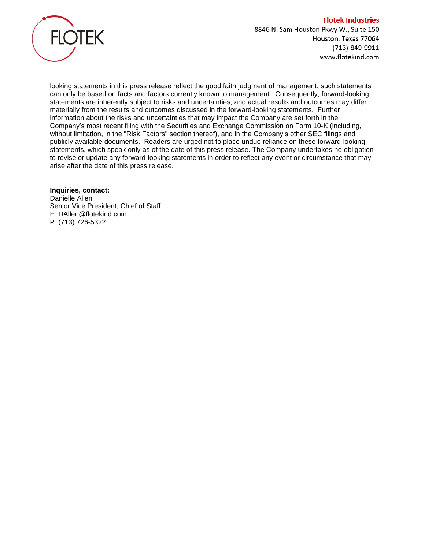

looking statements in this press release reflect the good faith judgment of management, such statements can only be based on facts and factors currently known to management. Consequently, forward-looking statements are inherently subject to risks and uncertainties, and actual results and outcomes may differ materially from the results and outcomes discussed in the forward-looking statements. Further information about the risks and uncertainties that may impact the Company are set forth in the Company's most recent filing with the Securities and Exchange Commission on Form 10-K (including, without limitation, in the "Risk Factors" section thereof), and in the Company's other SEC filings and publicly available documents. Readers are urged not to place undue reliance on these forward-looking statements, which speak only as of the date of this press release. The Company undertakes no obligation to revise or update any forward-looking statements in order to reflect any event or circumstance that may arise after the date of this press release.

## **Inquiries, contact:**

Danielle Allen Senior Vice President, Chief of Staff E: DAllen@flotekind.com P: (713) 726-5322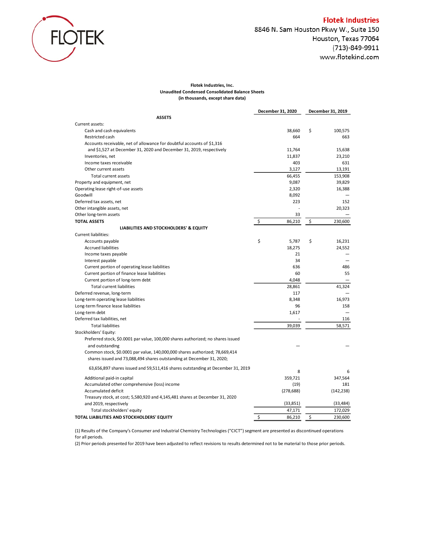

#### **Flotek Industries, Inc. Unaudited Condensed Consolidated Balance Sheets (in thousands, except share data)**

|                                                                                  | December 31, 2020 | December 31, 2019 |
|----------------------------------------------------------------------------------|-------------------|-------------------|
| <b>ASSETS</b>                                                                    |                   |                   |
| Current assets:                                                                  |                   |                   |
| Cash and cash equivalents                                                        | 38,660            | \$<br>100,575     |
| Restricted cash                                                                  | 664               | 663               |
| Accounts receivable, net of allowance for doubtful accounts of \$1,316           |                   |                   |
| and \$1,527 at December 31, 2020 and December 31, 2019, respectively             | 11,764            | 15.638            |
| Inventories, net                                                                 | 11,837            | 23,210            |
| Income taxes receivable                                                          | 403               | 631               |
| Other current assets                                                             | 3,127             | 13,191            |
| Total current assets                                                             | 66,455            | 153,908           |
| Property and equipment, net                                                      | 9,087             | 39,829            |
| Operating lease right-of-use assets                                              | 2,320             | 16,388            |
| Goodwill                                                                         | 8,092             |                   |
| Deferred tax assets, net                                                         | 223               | 152               |
| Other intangible assets, net                                                     |                   | 20,323            |
| Other long-term assets                                                           | 33                |                   |
| <b>TOTAL ASSETS</b>                                                              | \$<br>86,210      | \$<br>230,600     |
| LIABILITIES AND STOCKHOLDERS' & EQUITY                                           |                   |                   |
| <b>Current liabilities:</b>                                                      |                   |                   |
| Accounts payable                                                                 | \$<br>5,787       | \$<br>16,231      |
| <b>Accrued liabilities</b>                                                       | 18,275            | 24,552            |
| Income taxes payable                                                             | 21                |                   |
| Interest payable                                                                 | 34                |                   |
| Current portion of operating lease liabilities                                   | 636               | 486               |
| Current portion of finance lease liabilities                                     | 60                | 55                |
| Current portion of long-term debt                                                | 4,048             |                   |
| <b>Total current liabilities</b>                                                 | 28,861            | 41,324            |
| Deferred revenue, long-term                                                      | 117               |                   |
| Long-term operating lease liabilities                                            | 8,348             | 16,973            |
| Long-term finance lease liabilities                                              | 96                | 158               |
| Long-term debt                                                                   | 1,617             |                   |
| Deferred tax liabilities, net                                                    |                   | 116               |
| <b>Total liabilities</b>                                                         | 39,039            | 58,571            |
| Stockholders' Equity:                                                            |                   |                   |
| Preferred stock, \$0.0001 par value, 100,000 shares authorized; no shares issued |                   |                   |
| and outstanding                                                                  |                   |                   |
| Common stock, \$0.0001 par value, 140,000,000 shares authorized; 78,669,414      |                   |                   |
| shares issued and 73,088,494 shares outstanding at December 31, 2020;            |                   |                   |
|                                                                                  |                   |                   |
| 63,656,897 shares issued and 59,511,416 shares outstanding at December 31, 2019  | 8                 | 6                 |
| Additional paid-in capital                                                       | 359,721           | 347,564           |
| Accumulated other comprehensive (loss) income                                    | (19)              | 181               |
| Accumulated deficit                                                              | (278, 688)        | (142, 238)        |
| Treasury stock, at cost; 5,580,920 and 4,145,481 shares at December 31, 2020     |                   |                   |
| and 2019, respectively                                                           | (33, 851)         | (33, 484)         |
| Total stockholders' equity                                                       | 47,171            | 172,029           |
| TOTAL LIABILITIES AND STOCKHOLDERS' EQUITY                                       | \$<br>86,210      | \$<br>230,600     |
|                                                                                  |                   |                   |

(1) Results of the Company's Consumer and Industrial Chemistry Technologies ("CICT") segment are presented as discontinued operations for all periods.

(2) Prior periods presented for 2019 have been adjusted to reflect revisions to results determined not to be material to those prior periods.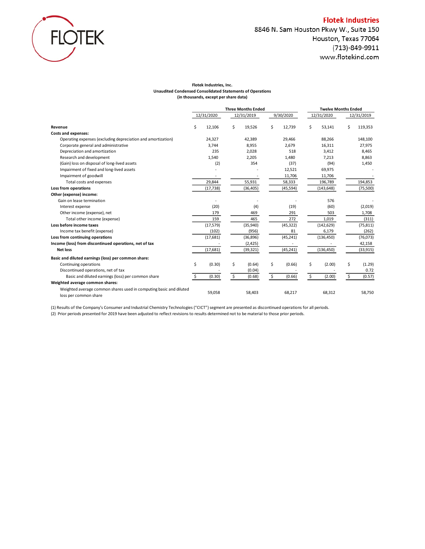

# 8846 N. Sam Houston Pkwy W., Suite 150 Houston, Texas 77064 (713)-849-9911 www.flotekind.com

#### **Flotek Industries, Inc. Unaudited Condensed Consolidated Statements of Operations (in thousands, except per share data)**

|                                                                                             | <b>Three Months Ended</b> |            |    | <b>Twelve Months Ended</b> |    |           |              |    |            |
|---------------------------------------------------------------------------------------------|---------------------------|------------|----|----------------------------|----|-----------|--------------|----|------------|
|                                                                                             |                           | 12/31/2020 |    | 12/31/2019                 |    | 9/30/2020 | 12/31/2020   |    | 12/31/2019 |
| Revenue                                                                                     | \$                        | 12,106     | \$ | 19,526                     | Ś  | 12,739    | \$<br>53,141 | Ś  | 119,353    |
| <b>Costs and expenses:</b>                                                                  |                           |            |    |                            |    |           |              |    |            |
| Operating expenses (excluding depreciation and amortization)                                |                           | 24,327     |    | 42,389                     |    | 29,466    | 88,266       |    | 148,100    |
| Corporate general and administrative                                                        |                           | 3,744      |    | 8,955                      |    | 2,679     | 16,311       |    | 27,975     |
| Depreciation and amortization                                                               |                           | 235        |    | 2,028                      |    | 518       | 3,412        |    | 8,465      |
| Research and development                                                                    |                           | 1,540      |    | 2,205                      |    | 1,480     | 7,213        |    | 8,863      |
| (Gain) loss on disposal of long-lived assets                                                |                           | (2)        |    | 354                        |    | (37)      | (94)         |    | 1,450      |
| Impairment of fixed and long-lived assets                                                   |                           |            |    |                            |    | 12,521    | 69,975       |    |            |
| Impairment of goodwill                                                                      |                           |            |    |                            |    | 11,706    | 11,706       |    |            |
| Total costs and expenses                                                                    |                           | 29,844     |    | 55,931                     |    | 58,333    | 196,789      |    | 194,853    |
| Loss from operations                                                                        |                           | (17, 738)  |    | (36, 405)                  |    | (45, 594) | (143, 648)   |    | (75, 500)  |
| Other (expense) income:                                                                     |                           |            |    |                            |    |           |              |    |            |
| Gain on lease termination                                                                   |                           |            |    |                            |    |           | 576          |    |            |
| Interest expense                                                                            |                           | (20)       |    | (4)                        |    | (19)      | (60)         |    | (2,019)    |
| Other income (expense), net                                                                 |                           | 179        |    | 469                        |    | 291       | 503          |    | 1,708      |
| Total other income (expense)                                                                |                           | 159        |    | 465                        |    | 272       | 1,019        |    | (311)      |
| Loss before income taxes                                                                    |                           | (17, 579)  |    | (35,940)                   |    | (45, 322) | (142, 629)   |    | (75, 811)  |
| Income tax benefit (expense)                                                                |                           | (102)      |    | (956)                      |    | 81        | 6,179        |    | (262)      |
| Loss from continuing operations                                                             |                           | (17, 681)  |    | (36, 896)                  |    | (45, 241) | (136, 450)   |    | (76, 073)  |
| Income (loss) from discontinued operations, net of tax                                      |                           |            |    | (2, 425)                   |    |           |              |    | 42,158     |
| <b>Net loss</b>                                                                             |                           | (17, 681)  |    | (39, 321)                  |    | (45, 241) | (136, 450)   |    | (33, 915)  |
| Basic and diluted earnings (loss) per common share:                                         |                           |            |    |                            |    |           |              |    |            |
| Continuing operations                                                                       | \$                        | (0.30)     | \$ | (0.64)                     | \$ | (0.66)    | \$<br>(2.00) | \$ | (1.29)     |
| Discontinued operations, net of tax                                                         |                           |            |    | (0.04)                     |    |           |              |    | 0.72       |
| Basic and diluted earnings (loss) per common share                                          | Ś.                        | (0.30)     | Ś. | (0.68)                     | \$ | (0.66)    | \$<br>(2.00) | \$ | (0.57)     |
| Weighted average common shares:                                                             |                           |            |    |                            |    |           |              |    |            |
| Weighted average common shares used in computing basic and diluted<br>loss per common share |                           | 59,058     |    | 58,403                     |    | 68,217    | 68,312       |    | 58,750     |

(1) Results of the Company's Consumer and Industrial Chemistry Technologies ("CICT") segment are presented as discontinued operations for all periods.

(2) Prior periods presented for 2019 have been adjusted to reflect revisions to results determined not to be material to those prior periods.

#### **Flotek Industries**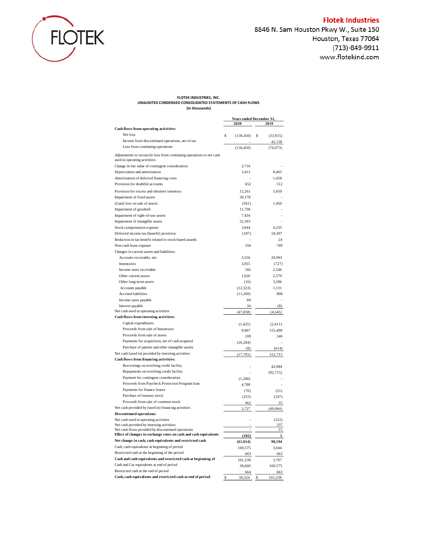

# **Flotek Industries**

8846 N. Sam Houston Pkwy W., Suite 150 Houston, Texas 77064 (713)-849-9911 www.flotekind.com

#### **FLOTEK INDUSTRIES, INC. UNAUDITED CONDENSED CONSOLIDATED STATEMENTS OF CASH FLOWS (in thousands)**

|                                                                                                       | Years ended December 31, |                |  |
|-------------------------------------------------------------------------------------------------------|--------------------------|----------------|--|
|                                                                                                       | 2020                     | 2019           |  |
| Cash flows from operating activities:                                                                 |                          |                |  |
| Net loss                                                                                              | Ŝ<br>(136, 450)          | (33,915)<br>\$ |  |
| Income from discontinued operations, net of tax                                                       |                          | 42,158         |  |
| Loss from continuing operations                                                                       | (136, 450)               | (76,073)       |  |
| Adjustments to reconcile loss from continuing operations to net cash<br>used in operating activities: |                          |                |  |
| Change in fair value of contingent consideration                                                      | 2,716                    |                |  |
| Depreciation and amortization                                                                         | 3,412                    | 8,465          |  |
| Amortization of deferred financing costs                                                              |                          | 1,428          |  |
| Provision for doubtful accounts                                                                       | 652                      | 512            |  |
| Provision for excess and obsolete inventory                                                           | 12,261                   | 5,659          |  |
| Impairment of fixed assets                                                                            | 30,178                   |                |  |
| (Gain) loss on sale of assets                                                                         | (561)                    | 1,450          |  |
| Impairment of goodwill                                                                                | 11,706                   |                |  |
| Impairment of right-of-use assets                                                                     | 7,434                    |                |  |
| Impairment of intangible assets                                                                       | 32,363                   |                |  |
| Stock compensation expense                                                                            | 3,044                    | 4,235          |  |
| Deferred income tax (benefit) provision                                                               | (187)                    | 18,307         |  |
| Reduction in tax benefit related to stock-based awards                                                |                          | 24             |  |
| Non-cash lease expense                                                                                | 356                      | 740            |  |
| Changes in current assets and liabilities:                                                            |                          |                |  |
|                                                                                                       |                          |                |  |
| Accounts receivable, net<br>Inventories                                                               | 3,556<br>3,955           | 20,993         |  |
|                                                                                                       |                          | (727)          |  |
| Income taxes receivable                                                                               | 182                      | 2,546          |  |
| Other current assets                                                                                  | 1,026                    | 2,579          |  |
| Other long-term assets                                                                                | (16)                     | 3,286          |  |
| Accounts payable                                                                                      | (12, 323)                | 1,131          |  |
| Accrued liabilities                                                                                   | (11,260)                 | 908            |  |
| Income taxes payable                                                                                  | 84                       |                |  |
| Interest payable                                                                                      | 34                       | (8)            |  |
| Net cash used in operating activities                                                                 | (47, 838)                | (4,545)        |  |
| Cash flows from investing activities:                                                                 |                          |                |  |
| Capital expenditures                                                                                  | (1,425)                  | (2, 411)       |  |
| Proceeds from sale of businesses                                                                      | 9,907                    | 155,498        |  |
| Proceeds from sale of assets                                                                          | 109                      | 240            |  |
| Payments for acquisition, net of cash acquired                                                        | (26, 284)                |                |  |
| Purchase of patents and other intangible assets                                                       | (8)                      | (614)          |  |
| Net cash (used in) provided by investing activities                                                   | (17,701)                 | 152,713        |  |
| Cash flows from financing activities:                                                                 |                          |                |  |
| Borrowings on revolving credit facility                                                               |                          | 42,984         |  |
| Repayments on revolving credit facility                                                               |                          | (92, 715)      |  |
| Payment for contingent consideration                                                                  | (1,200)                  |                |  |
| Proceeds from Paycheck Protection Program loan                                                        | 4,788                    |                |  |
| Payments for finance leases                                                                           | (70)                     | (51)           |  |
| Purchase of treasury stock                                                                            | (253)                    | (247)          |  |
| Proceeds from sale of common stock                                                                    | 462                      | 35             |  |
| Net cash provided by (used in) financing activities                                                   | 3,727                    | (49,994)       |  |
| <b>Discontinued operations:</b>                                                                       |                          |                |  |
| Net cash used in operating activities                                                                 |                          | (322)          |  |
| Net cash provided by investing activities                                                             |                          | 337            |  |
| Net cash flows provided by discontinued operations                                                    |                          | 15             |  |
| Effect of changes in exchange rates on cash and cash equivalents                                      | (102)                    | 5              |  |
| Net change in cash, cash equivalents and restricted cash                                              | (61, 914)                | 98,194         |  |
| Cash, cash equivalents at beginning of period                                                         | 100,575                  | 3,044          |  |
| Restricted cash at the beginning of the period                                                        | 663                      | 663            |  |
| Cash and cash equivalents and restricted cash at beginning of                                         | 101,238                  | 3,707          |  |
| Cash and Cas equivalents at end of period                                                             | 38,660                   | 100,575        |  |
| Restricted cash at the end of period                                                                  | 664                      | 663            |  |
| Cash, cash equivalents and restricted cash at end of period                                           | \$<br>39,324             | \$<br>101,238  |  |